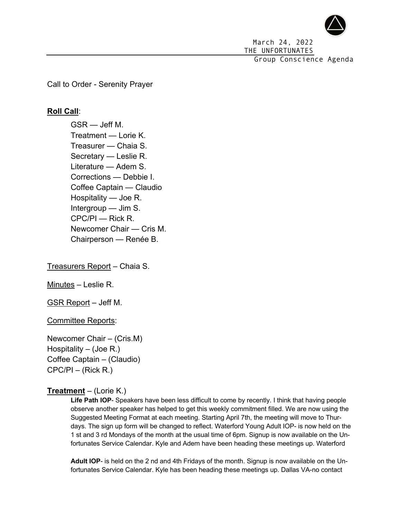

March 24, 2022 THE UNFORTUNATES Group Conscience Agenda

Call to Order - Serenity Prayer

# **Roll Call**:

GSR — Jeff M. Treatment — Lorie K. Treasurer — Chaia S. Secretary — Leslie R. Literature — Adem S. Corrections — Debbie I. Coffee Captain — Claudio Hospitality — Joe R. Intergroup — Jim S. CPC/PI — Rick R. Newcomer Chair — Cris M. Chairperson — Renée B.

Treasurers Report – Chaia S.

Minutes – Leslie R.

GSR Report – Jeff M.

Committee Reports:

Newcomer Chair – (Cris.M) Hospitality – (Joe R.) Coffee Captain – (Claudio) CPC/PI – (Rick R.)

## **Treatment** – (Lorie K.)

**Life Path IOP**- Speakers have been less difficult to come by recently. I think that having people observe another speaker has helped to get this weekly commitment filled. We are now using the Suggested Meeting Format at each meeting. Starting April 7th, the meeting will move to Thurdays. The sign up form will be changed to reflect. Waterford Young Adult IOP- is now held on the 1 st and 3 rd Mondays of the month at the usual time of 6pm. Signup is now available on the Unfortunates Service Calendar. Kyle and Adem have been heading these meetings up. Waterford

**Adult IOP**- is held on the 2 nd and 4th Fridays of the month. Signup is now available on the Unfortunates Service Calendar. Kyle has been heading these meetings up. Dallas VA-no contact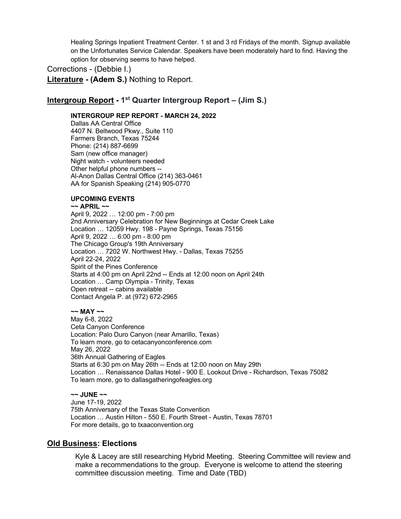Healing Springs Inpatient Treatment Center. 1 st and 3 rd Fridays of the month. Signup available on the Unfortunates Service Calendar. Speakers have been moderately hard to find. Having the option for observing seems to have helped.

Corrections - (Debbie I.)

**Literature - (Adem S.)** Nothing to Report.

# **Intergroup Report - 1st Quarter Intergroup Report – (Jim S.)**

### **INTERGROUP REP REPORT - MARCH 24, 2022**

Dallas AA Central Office 4407 N. Beltwood Pkwy., Suite 110 Farmers Branch, Texas 75244 Phone: (214) 887-6699 Sam (new office manager) Night watch - volunteers needed Other helpful phone numbers -- Al-Anon Dallas Central Office (214) 363-0461 AA for Spanish Speaking (214) 905-0770

### **UPCOMING EVENTS**

#### **~~ APRIL ~~**

April 9, 2022 … 12:00 pm - 7:00 pm 2nd Anniversary Celebration for New Beginnings at Cedar Creek Lake Location … 12059 Hwy. 198 - Payne Springs, Texas 75156 April 9, 2022 … 6:00 pm - 8:00 pm The Chicago Group's 19th Anniversary Location … 7202 W. Northwest Hwy. - Dallas, Texas 75255 April 22-24, 2022 Spirit of the Pines Conference Starts at 4:00 pm on April 22nd -- Ends at 12:00 noon on April 24th Location … Camp Olympia - Trinity, Texas Open retreat -- cabins available Contact Angela P. at (972) 672-2965

### **~~ MAY ~~**

May 6-8, 2022 Ceta Canyon Conference Location: Palo Duro Canyon (near Amarillo, Texas) To learn more, go to cetacanyonconference.com May 26, 2022 36th Annual Gathering of Eagles Starts at 6:30 pm on May 26th -- Ends at 12:00 noon on May 29th Location … Renaissance Dallas Hotel - 900 E. Lookout Drive - Richardson, Texas 75082 To learn more, go to dallasgatheringofeagles.org

#### **~~ JUNE ~~**

June 17-19, 2022 75th Anniversary of the Texas State Convention Location … Austin Hilton - 550 E. Fourth Street - Austin, Texas 78701 For more details, go to txaaconvention.org

## **Old Business: Elections**

Kyle & Lacey are still researching Hybrid Meeting. Steering Committee will review and make a recommendations to the group. Everyone is welcome to attend the steering committee discussion meeting. Time and Date (TBD)